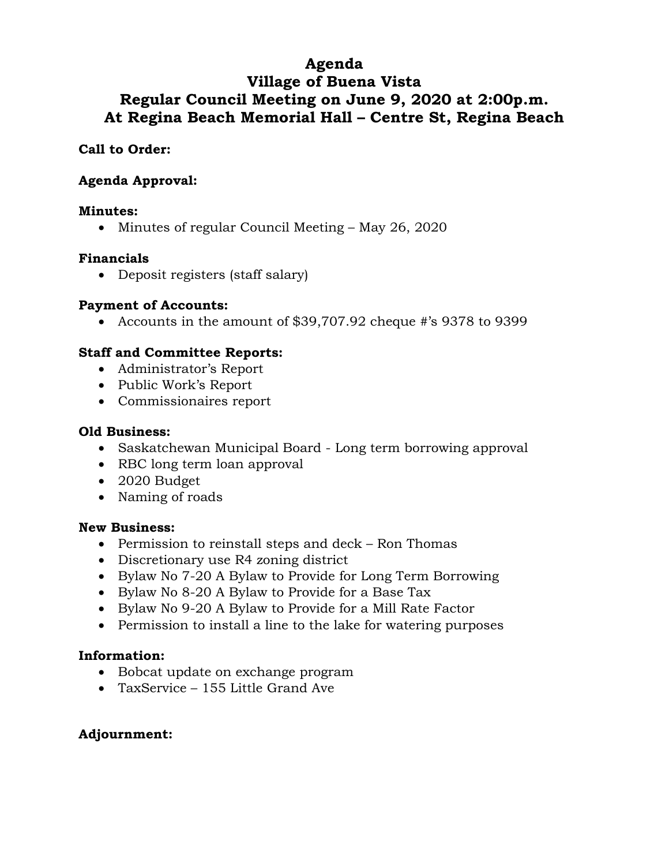# **Agenda Village of Buena Vista Regular Council Meeting on June 9, 2020 at 2:00p.m. At Regina Beach Memorial Hall – Centre St, Regina Beach**

# **Call to Order:**

# **Agenda Approval:**

#### **Minutes:**

• Minutes of regular Council Meeting – May 26, 2020

#### **Financials**

• Deposit registers (staff salary)

#### **Payment of Accounts:**

• Accounts in the amount of \$39,707.92 cheque #'s 9378 to 9399

## **Staff and Committee Reports:**

- Administrator's Report
- Public Work's Report
- Commissionaires report

#### **Old Business:**

- Saskatchewan Municipal Board Long term borrowing approval
- RBC long term loan approval
- 2020 Budget
- Naming of roads

#### **New Business:**

- Permission to reinstall steps and deck Ron Thomas
- Discretionary use R4 zoning district
- Bylaw No 7-20 A Bylaw to Provide for Long Term Borrowing
- Bylaw No 8-20 A Bylaw to Provide for a Base Tax
- Bylaw No 9-20 A Bylaw to Provide for a Mill Rate Factor
- Permission to install a line to the lake for watering purposes

## **Information:**

- Bobcat update on exchange program
- TaxService 155 Little Grand Ave

## **Adjournment:**